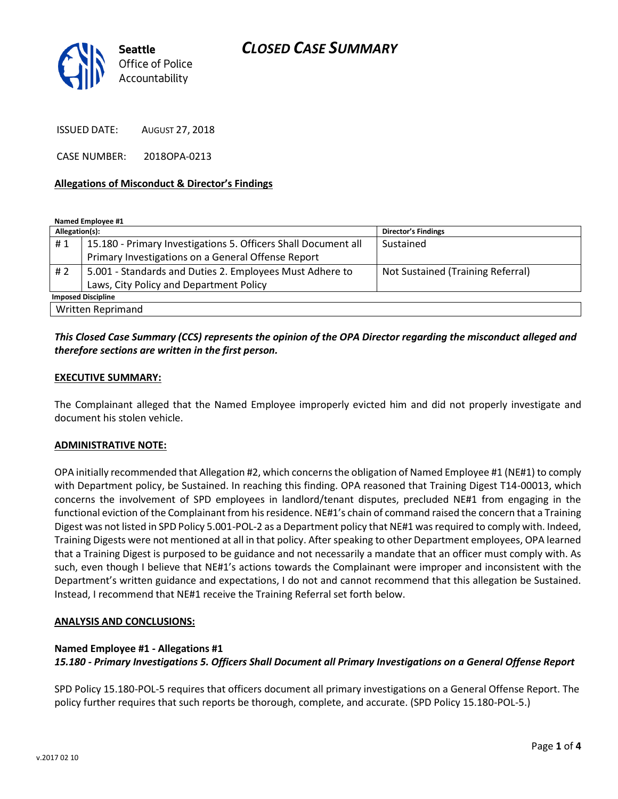# *CLOSED CASE SUMMARY*



ISSUED DATE: AUGUST 27, 2018

CASE NUMBER: 2018OPA-0213

#### **Allegations of Misconduct & Director's Findings**

**Named Employee #1**

| Allegation(s):            |                                                                | <b>Director's Findings</b>        |
|---------------------------|----------------------------------------------------------------|-----------------------------------|
| #1                        | 15.180 - Primary Investigations 5. Officers Shall Document all | Sustained                         |
|                           | Primary Investigations on a General Offense Report             |                                   |
| # $2$                     | 5.001 - Standards and Duties 2. Employees Must Adhere to       | Not Sustained (Training Referral) |
|                           | Laws, City Policy and Department Policy                        |                                   |
| <b>Imposed Discipline</b> |                                                                |                                   |
| Written Reprimand         |                                                                |                                   |

## *This Closed Case Summary (CCS) represents the opinion of the OPA Director regarding the misconduct alleged and therefore sections are written in the first person.*

#### **EXECUTIVE SUMMARY:**

The Complainant alleged that the Named Employee improperly evicted him and did not properly investigate and document his stolen vehicle.

#### **ADMINISTRATIVE NOTE:**

OPA initially recommended that Allegation #2, which concerns the obligation of Named Employee #1 (NE#1) to comply with Department policy, be Sustained. In reaching this finding. OPA reasoned that Training Digest T14-00013, which concerns the involvement of SPD employees in landlord/tenant disputes, precluded NE#1 from engaging in the functional eviction of the Complainant from his residence. NE#1's chain of command raised the concern that a Training Digest was not listed in SPD Policy 5.001-POL-2 as a Department policy that NE#1 was required to comply with. Indeed, Training Digests were not mentioned at all in that policy. After speaking to other Department employees, OPA learned that a Training Digest is purposed to be guidance and not necessarily a mandate that an officer must comply with. As such, even though I believe that NE#1's actions towards the Complainant were improper and inconsistent with the Department's written guidance and expectations, I do not and cannot recommend that this allegation be Sustained. Instead, I recommend that NE#1 receive the Training Referral set forth below.

### **ANALYSIS AND CONCLUSIONS:**

### **Named Employee #1 - Allegations #1**

### *15.180 - Primary Investigations 5. Officers Shall Document all Primary Investigations on a General Offense Report*

SPD Policy 15.180-POL-5 requires that officers document all primary investigations on a General Offense Report. The policy further requires that such reports be thorough, complete, and accurate. (SPD Policy 15.180-POL-5.)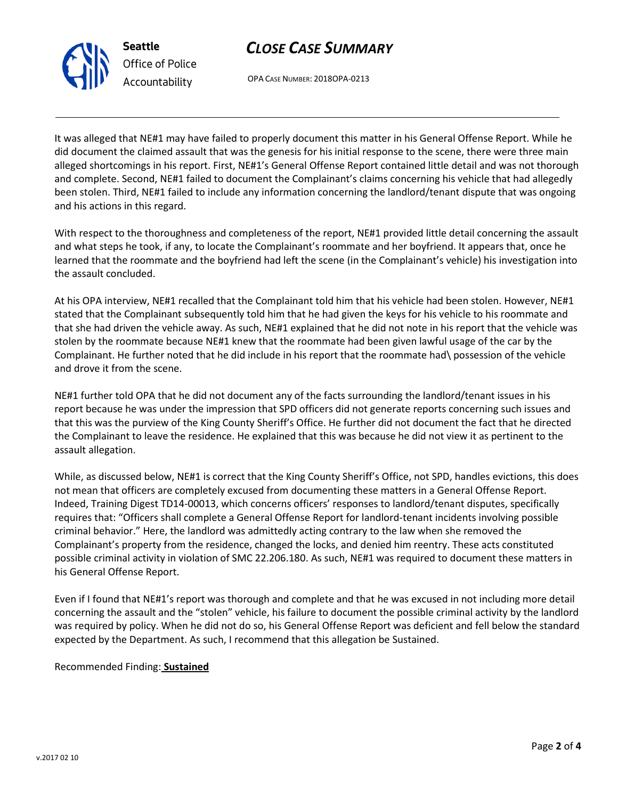



OPA CASE NUMBER: 2018OPA-0213

It was alleged that NE#1 may have failed to properly document this matter in his General Offense Report. While he did document the claimed assault that was the genesis for his initial response to the scene, there were three main alleged shortcomings in his report. First, NE#1's General Offense Report contained little detail and was not thorough and complete. Second, NE#1 failed to document the Complainant's claims concerning his vehicle that had allegedly been stolen. Third, NE#1 failed to include any information concerning the landlord/tenant dispute that was ongoing and his actions in this regard.

With respect to the thoroughness and completeness of the report, NE#1 provided little detail concerning the assault and what steps he took, if any, to locate the Complainant's roommate and her boyfriend. It appears that, once he learned that the roommate and the boyfriend had left the scene (in the Complainant's vehicle) his investigation into the assault concluded.

At his OPA interview, NE#1 recalled that the Complainant told him that his vehicle had been stolen. However, NE#1 stated that the Complainant subsequently told him that he had given the keys for his vehicle to his roommate and that she had driven the vehicle away. As such, NE#1 explained that he did not note in his report that the vehicle was stolen by the roommate because NE#1 knew that the roommate had been given lawful usage of the car by the Complainant. He further noted that he did include in his report that the roommate had\ possession of the vehicle and drove it from the scene.

NE#1 further told OPA that he did not document any of the facts surrounding the landlord/tenant issues in his report because he was under the impression that SPD officers did not generate reports concerning such issues and that this was the purview of the King County Sheriff's Office. He further did not document the fact that he directed the Complainant to leave the residence. He explained that this was because he did not view it as pertinent to the assault allegation.

While, as discussed below, NE#1 is correct that the King County Sheriff's Office, not SPD, handles evictions, this does not mean that officers are completely excused from documenting these matters in a General Offense Report. Indeed, Training Digest TD14-00013, which concerns officers' responses to landlord/tenant disputes, specifically requires that: "Officers shall complete a General Offense Report for landlord-tenant incidents involving possible criminal behavior." Here, the landlord was admittedly acting contrary to the law when she removed the Complainant's property from the residence, changed the locks, and denied him reentry. These acts constituted possible criminal activity in violation of SMC 22.206.180. As such, NE#1 was required to document these matters in his General Offense Report.

Even if I found that NE#1's report was thorough and complete and that he was excused in not including more detail concerning the assault and the "stolen" vehicle, his failure to document the possible criminal activity by the landlord was required by policy. When he did not do so, his General Offense Report was deficient and fell below the standard expected by the Department. As such, I recommend that this allegation be Sustained.

### Recommended Finding: **Sustained**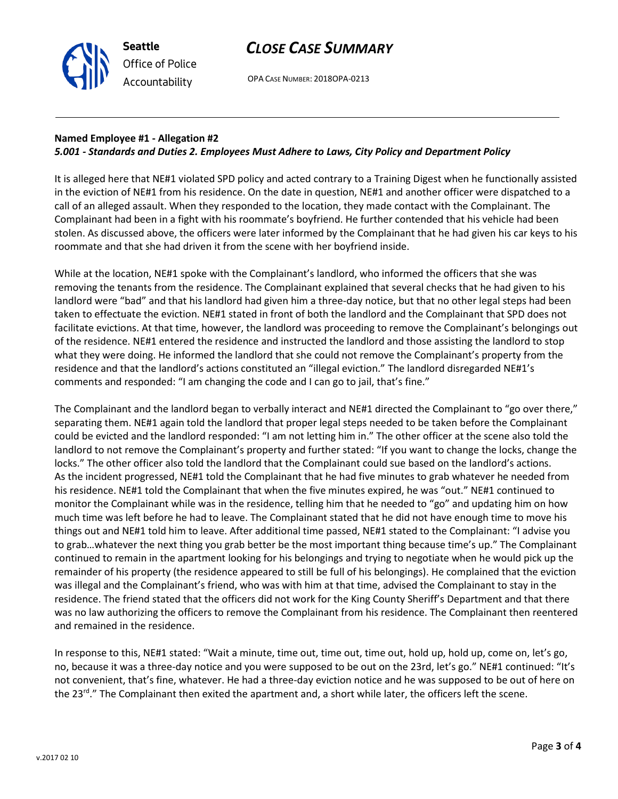## *CLOSE CASE SUMMARY*

OPA CASE NUMBER: 2018OPA-0213

## **Named Employee #1 - Allegation #2**

**Seattle**

*Office of Police Accountability*

### *5.001 - Standards and Duties 2. Employees Must Adhere to Laws, City Policy and Department Policy*

It is alleged here that NE#1 violated SPD policy and acted contrary to a Training Digest when he functionally assisted in the eviction of NE#1 from his residence. On the date in question, NE#1 and another officer were dispatched to a call of an alleged assault. When they responded to the location, they made contact with the Complainant. The Complainant had been in a fight with his roommate's boyfriend. He further contended that his vehicle had been stolen. As discussed above, the officers were later informed by the Complainant that he had given his car keys to his roommate and that she had driven it from the scene with her boyfriend inside.

While at the location, NE#1 spoke with the Complainant's landlord, who informed the officers that she was removing the tenants from the residence. The Complainant explained that several checks that he had given to his landlord were "bad" and that his landlord had given him a three-day notice, but that no other legal steps had been taken to effectuate the eviction. NE#1 stated in front of both the landlord and the Complainant that SPD does not facilitate evictions. At that time, however, the landlord was proceeding to remove the Complainant's belongings out of the residence. NE#1 entered the residence and instructed the landlord and those assisting the landlord to stop what they were doing. He informed the landlord that she could not remove the Complainant's property from the residence and that the landlord's actions constituted an "illegal eviction." The landlord disregarded NE#1's comments and responded: "I am changing the code and I can go to jail, that's fine."

The Complainant and the landlord began to verbally interact and NE#1 directed the Complainant to "go over there," separating them. NE#1 again told the landlord that proper legal steps needed to be taken before the Complainant could be evicted and the landlord responded: "I am not letting him in." The other officer at the scene also told the landlord to not remove the Complainant's property and further stated: "If you want to change the locks, change the locks." The other officer also told the landlord that the Complainant could sue based on the landlord's actions. As the incident progressed, NE#1 told the Complainant that he had five minutes to grab whatever he needed from his residence. NE#1 told the Complainant that when the five minutes expired, he was "out." NE#1 continued to monitor the Complainant while was in the residence, telling him that he needed to "go" and updating him on how much time was left before he had to leave. The Complainant stated that he did not have enough time to move his things out and NE#1 told him to leave. After additional time passed, NE#1 stated to the Complainant: "I advise you to grab…whatever the next thing you grab better be the most important thing because time's up." The Complainant continued to remain in the apartment looking for his belongings and trying to negotiate when he would pick up the remainder of his property (the residence appeared to still be full of his belongings). He complained that the eviction was illegal and the Complainant's friend, who was with him at that time, advised the Complainant to stay in the residence. The friend stated that the officers did not work for the King County Sheriff's Department and that there was no law authorizing the officers to remove the Complainant from his residence. The Complainant then reentered and remained in the residence.

In response to this, NE#1 stated: "Wait a minute, time out, time out, time out, hold up, hold up, come on, let's go, no, because it was a three-day notice and you were supposed to be out on the 23rd, let's go." NE#1 continued: "It's not convenient, that's fine, whatever. He had a three-day eviction notice and he was supposed to be out of here on the 23<sup>rd</sup>." The Complainant then exited the apartment and, a short while later, the officers left the scene.